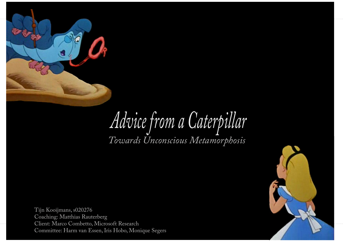

# *Advice from a Caterpillar Towards Unconscious Metamorphosis*

Committee: Harm van Essen, Iris Hobo, Monique Segers Tijn Kooijmans, s020276 Coaching: Matthias Rauterberg Client: Marco Combetto, Microsoft Research

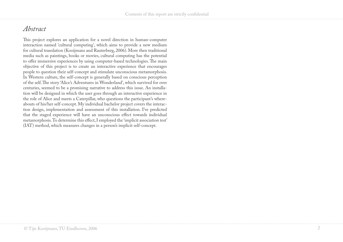## *Abstract*

This project explores an application for a novel direction in human-computer interaction named 'cultural computing', which aims to provide a new medium for cultural translation (Kooijmans and Rauterberg, 2006). More then traditional media such as paintings, books or movies, cultural computing has the potential to offer immersive experiences by using computer-based technologies. The main objective of this project is to create an interactive experience that encourages people to question their self-concept and stimulate unconscious metamorphosis. In Western culture, the self-concept is generally based on conscious perception of the self. The story 'Alice's Adventures in Wonderland', which survived for over centuries, seemed to be a promising narrative to address this issue. An installation will be designed in which the user goes through an interactive experience in the role of Alice and meets a Caterpillar, who questions the participant's whereabouts of his/her self-concept. My individual bachelor project covers the interaction design, implementation and assessment of this installation. I've predicted that the staged experience will have an unconscious effect towards individual metamorphosis. To determine this effect, I employed the 'implicit association test' (IAT) method, which measures changes in a person's implicit self-concept.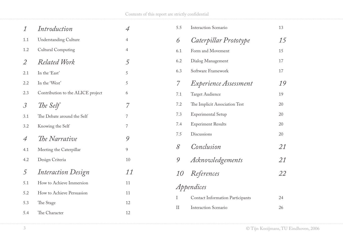| 1                        | Introduction                      | $\overline{\mathcal{A}}$ | 5.5            | <b>Interaction Scenario</b>             | 13 |
|--------------------------|-----------------------------------|--------------------------|----------------|-----------------------------------------|----|
| 1.1                      | <b>Understanding Culture</b>      | 4                        | 6              | Caterpillar Prototype                   | 15 |
| 1.2                      | <b>Cultural Computing</b>         | 4                        | 6.1            | Form and Movement                       | 15 |
| $\overline{2}$           | <b>Related Work</b>               | $\overline{5}$           | 6.2            | Dialog Management                       | 17 |
| 2.1                      | In the 'East'                     | 5                        | 6.3            | Software Framework                      | 17 |
| 2.2                      | In the 'West'                     | $\sqrt{5}$               | $\overline{7}$ | <i>Experience Assessment</i>            | 19 |
| 2.3                      | Contribution to the ALICE project | 6                        | 7.1            | <b>Target Audience</b>                  | 19 |
| $\mathcal{S}$            | The Self                          | 7                        | 7.2            | The Implicit Association Test           | 20 |
| 3.1                      | The Debate around the Self        | $\overline{7}$           | 7.3            | <b>Experimental Setup</b>               | 20 |
| 3.2                      | Knowing the Self                  | 7                        | 7.4            | <b>Experiment Results</b>               | 20 |
| $\overline{\mathcal{A}}$ | The Narrative                     | 9                        | 7.5            | Discussions                             | 20 |
| 4.1                      | Meeting the Caterpillar           | 9                        | 8              | Conclusion                              | 21 |
| 4.2                      | Design Criteria                   | 10                       | 9              | Acknowledgements                        | 21 |
| $\overline{5}$           | <b>Interaction Design</b>         | 11                       | <i>10</i>      | References                              | 22 |
| 5.1                      | How to Achieve Immersion          | 11                       |                |                                         |    |
| 5.2                      | How to Achieve Persuasion         | 11                       |                | Appendices                              |    |
| 5.3                      | The Stage                         | 12                       | Ι              | <b>Contact Information Participants</b> | 24 |
| 5.4                      | The Character                     | 12                       | $\mathbf{I}$   | <b>Interaction Scenario</b>             | 26 |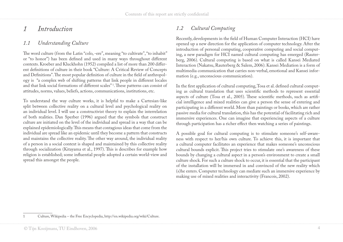# *1 Introduction*

#### *1.1 Understanding Culture*

The word culture (from the Latin "colo, -ere", meaning "to cultivate", "to inhabit" or "to honor") has been defined and used in many ways throughout different contexts. Kroeber and Kluckhohn (1952) compiled a list of more than 200 different definitions of culture in their book "Culture: A Critical Review of Concepts and Definitions". The most popular definition of culture in the field of anthropology is "a complex web of shifting patterns that link people in different locales and that link social formations of different scales"<sup>1</sup>. These patterns can consist of attitudes, norms, values, beliefs, actions, communications, institutions, etc.

To understand the way culture works, it is helpful to make a Cartesian-like split between collective reality on a cultural level and psychological reality on an individual level. I will use a constructivist theory to explain the interrelation of both realities. Dan Sperber (1996) argued that the symbols that construct culture are initiated on the level of the individual and spread in a way that can be explained epidemiologically. This means that contagious ideas that come from the individual are spread like an epidemic until they become a pattern that constructs and maintains the collective reality. The other way around, the individual reality of a person in a social context is shaped and maintained by this collective reality through socialization (Kitayama et al., 1997). This is describes for example how religion is established; some influential people adopted a certain world-view and spread this amongst the people.

## *1.2 Cultural Computing*

Recently, developments in the field of Human Computer Interaction (HCI) have opened up a new direction for the application of computer technology. After the introduction of personal computing, cooperative computing and social computing, a new paradigm for HCI named cultural computing has emerged (Rauterberg, 2006). Cultural computing is based on what is called Kansei Mediated Interaction (Nakatsu, Rauterberg & Salem, 2006). Kansei Mediation is a form of multimedia communication that carries non-verbal, emotional and Kansei information (e.g., unconscious communication).

In the first application of cultural computing, Tosa et al. defined cultural computing as cultural translation that uses scientific methods to represent essential aspects of culture (Tosa et al., 2005). These scientific methods, such as artificial intelligence and mixed realities can give a person the sense of entering and participating in a different world. More than paintings or books, which are rather passive media for cultural translation, this has the potential of facilitating rich and immersive experiences. One can imagine that experiencing aspects of a culture through participation has a richer effect then watching a series of paintings.

A possible goal for cultural computing is to stimulate someone's self-awareness with respect to her/his own culture. To achieve this, it is important that a cultural computer facilitates an experience that makes someone's unconscious cultural bounds explicit. This project tries to stimulate one's awareness of these bounds by changing a cultural aspect in a person's environment to create a small culture shock. For such a culture shock to occur, it is essential that the participant of the installation will be immersed in and convinced of the new reality which (s)he enters. Computer technology can mediate such an immersive experience by making use of mixed realities and interactivity (Francois, 2002).

Culture, Wikipedia – the Free Encyclopedia, http://en.wikipedia.org/wiki/Culture.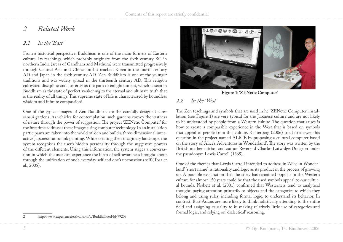# *2 Related Work*

#### *2.1 In the 'East'*

From a historical perspective, Buddhism is one of the main formers of Eastern culture. Its teachings, which probably originate from the sixth century BC in northern India (areas of Gandhara and Mathura) were transmitted progressively through Central Asia and China until it reached Korea in the fourth century AD and Japan in the sixth century AD. Zen Buddhism is one of the younger traditions and was widely spread in the thirteenth century AD. This religion cultivated discipline and austerity as the path to enlightenment, which is seen in Buddhism as the state of perfect awakening to the eternal and ultimate truth that is the reality of all things. This supreme state of life is characterized by boundless wisdom and infinite compassion .

One of the typical images of Zen Buddhism are the carefully designed karesansui gardens. As vehicles for contemplation, such gardens convey the vastness of nature through the power of suggestion. The project 'ZENetic Computer' for the first time addresses these images using computer technology. In an installation participants are taken into the world of Zen and build a three-dimensional interactive Japanese sansui ink painting. While creating their imaginary landscape, the system recognises the user's hidden personality through the suggestive powers of the different elements. Using this information, the system stages a conversation in which the user can experience the birth of self-awareness brought about through the unification of one's everyday self and one's unconscious self (Tosa et al., 2005).



**Figure 1: 'ZENetic Computer'**

## *2.2 In the 'West'*

The Zen teachings and symbols that are used in he 'ZENetic Computer' installation (see Figure 1) are very typical for the Japanese culture and are not likely to be understood by people from a Western culture. The question that arises is how to create a comparable experience in the West that is based on symbols that appeal to people from this culture. Rauterberg (2006) tried to answer this question in the project named ALICE by proposing a cultural computer based on the story of 'Alice's Adventures in Wonderland'. The story was written by the British mathematician and author Reverend Charles Lutwidge Dodgson under the pseudonym Lewis Carroll (1865).

One of the themes that Lewis Carroll intended to address in 'Alice in Wonderland' (short name) is rationality and logic as its product in the process of growing up. A possible explanation that the story has remained popular in the Western culture for almost 150 years could be that the used symbols appeal to our cultural bounds. Nisbett et al. (2001) confirmed that Westerners tend to analytical thought, paying attention primarily to objects and the categories to which they belong and using rules, including formal logic, to understand its behavior. In contrast, East Asians are more likely to think holistically, attending to the entire field and assigning causality to it, making relatively little use of categories and formal logic, and relying on 'dialectical' reasoning.

2 http://www.experiencefestival.com/a/Buddhahood/id/79203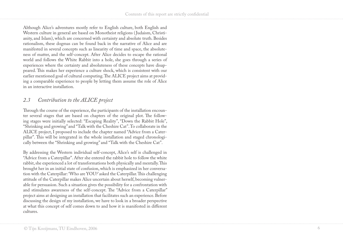Although Alice's adventures mostly refer to English culture, both English and Western culture in general are based on Monotheist religions ( Judaism, Christi anity, and Islam), which are concerned with certainty and absolute truth. Besides rationalism, these dogmas can be found back in the narrative of Alice and are manifested in several concepts such as linearity of time and space, the absolute ness of matter, and the self-concept. After Alice decides to escape the rational world and follows the White Rabbit into a hole, she goes through a series of experiences where the certainty and absoluteness of these concepts have disap peared. This makes her experience a culture shock, which is consistent with our earlier mentioned goal of cultural computing. The ALICE project aims at provid ing a comparable experience to people by letting them assume the role of Alice in an interactive installation.

#### *2.3 Contribution to the ALICE project*

Ihrough the course of the experience, the participants of the installation encounter several stages that are based on chapters of the original plot. The follow ing stages were initially selected: "Escaping Reality", "Down the Rabbit Hole", "Shrinking and growing" and "Talk with the Cheshire Cat". To collaborate in the ALICE project, I proposed to include the chapter named "Advice from a Cater pillar". This will be integrated in the whole installation and staged chronologi cally between the "Shrinking and growing" and "Talk with the Cheshire Cat".

By addressing the Western individual self-concept, Alice's self is challenged in "Advice from a Caterpillar". After she entered the rabbit hole to follow the white rabbit, she experienced a lot of transformations both physically and mentally. This brought her in an initial state of confusion, which is emphasized in her conversa tion with the Caterpillar: 'Who are YOU?' asked the Caterpillar. This challenging attitude of the Caterpillar makes Alice uncertain about herself, becoming vulner able for persuasion. Such a situation gives the possibility for a confrontation with and stimulates awareness of the self-concept. The "Advice from a Caterpillar" project aims at designing an installation that facilitates such an experience. Before discussing the design of my installation, we have to look in a broader perspective at what this concept of self comes down to and how it is manifested in different cultures.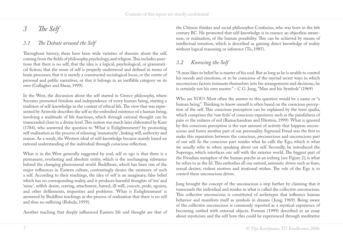# *3 The Self*

## *3.1 The Debate around the Self*

Throughout history, there have been wide varieties of theories about the self, coming from the fields of philosophy, psychology, and religion. This includes assertions that there is no self; that the idea is a logical, psychological, or grammatical fiction; that the sense of self is properly understood and defined in terms of brain processes; that it is merely a constructed sociological locus, or the centre of personal and public narratives, or that it belongs in an ineffable category on its own (Gallagher and Shear, 1999).

In the West, the discussion about the self started in Greece philosophy, where Socrates promoted freedom and independence of every human being, starting a tradition of self-knowledge in the context of ethical life. The view that was represented by Aristotle describes the self as the embodied existence of a human being, involving a multitude of life functions, which through rational thought can be transcended close to a divine level. This notion was much later elaborated by Kant (1784), who answered the question to 'What is Enlightenment?' by promoting self-realization as the process of releasing 'immaturity', linking will, authority and reason. As a result, the Western ideal of self-knowledge became mainly based on rational understanding of the individual through conscious reflection.

What is in the West generally suggested by soul, self or ego is that there is a permanent, everlasting and absolute entity, which is the unchanging substance behind the changing phenomenal world. Buddhism, which has been one of the major influences in Eastern culture, contrastingly denies the existence of such a self. According to their teachings, the idea of self is an imaginary, false belief which has no corresponding reality, and it produces harmful thoughts of 'me' and 'mine', selfish desire, craving, attachment, hatred, ill-will, conceit, pride, egoism, and other defilements, impurities and problems. 'What is Enlightenment' is answered by Buddhist teachings as the process of realization that there is no self and thus no suffering (Rahula, 1959).

Another teaching that deeply influenced Eastern life and thought are that of

the Chinese thinker and social philosopher Confucius, who was born in the 6th century BC. He promoted that self-knowledge is in essence an objectless awareness, or realization, of the human possibility. This can be achieved by means of intellectual intuition, which is described as gaining direct knowledge of reality without logical reasoning or inference (Tu, 1985).

## *3.2 Knowing the Self*

"A man likes to belief he is master of his soul. But as long as he is unable to control his moods and emotions, or to be conscious of the myriad secret ways in which unconscious factors insinuate themselves into his arrangements and decisions, he is certainly not his own master." – C.G. Jung, "Man and his Symbols" (1969)

Who are YOU? Most often the answer to this question would be a name or "a human being". Thinking to know oneself is often based on the conscious perception of the self. This conscious perception can be explained by the term qualia, which comprises the 'raw feels' of conscious experience such as the painfulness of pain or the redness of red (Ramachandran and Hirstein, 1999). What is ignored by this conscious perception is the vast amount of activity that happens unconscious and forms another part of our personality. Sigmund Freud was the first to make this separation between the conscious, preconscious and unconscious part of our self. In the conscious part resides what he calls the Ego, which is what we usually refer to when speaking about our self. Secondly, he introduced the Superego, which interfaces our self with the exterior world. The biggest part of the Freudian metaphor of the human psyche as an iceberg (see Figure 2), is what he refers to as the Id. This embodies all our natural, animistic drives such as fears, sexual desires, violent motives and irrational wishes. The role of the Ego is to control these unconscious drives.

Jung brought the concept of the unconscious a step further by claiming that it transcends the individual and resides in what is called the collective unconscious. This collective unconscious is constituted of archetypes that influence human behavior and manifests itself as symbols in dreams ( Jung, 1969). Being aware of the collective unconscious is commonly reported as a mystical experience of becoming unified with external objects. Forman (1999) described in an essay about mysticism and the self how this could be experienced through meditative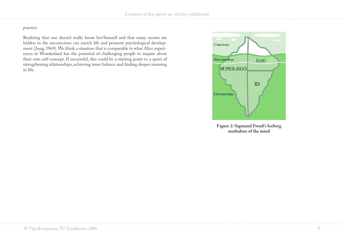#### practice.

Realizing that one doesn't really know her/himself and that many secrets are hidden in the unconscious can enrich life and promote psychological development (Jung, 1969). We think a situation that is comparable to what Alice experiences in Wonderland has the potential of challenging people to inquire about their own self-concept. If successful, this could be a starting point to a quest of strengthening relationships, achieving inner balance and finding deeper meaning in life.



**Figure 2: Sigmund Freud's Iceberg methafore of the mind**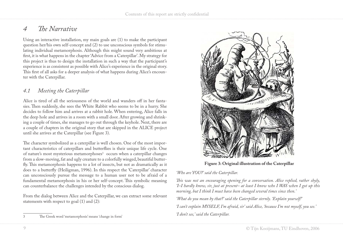# *4 The Narrative*

Using an interactive installation, my main goals are (1) to make the participant question her/his own self-concept and (2) to use unconscious symbols for stimulating individual metamorphosis. Although this might sound very ambitious at first, it is what happens in the chapter 'Advice from a Caterpillar'. My strategy for this project is thus to design the installation in such a way that the participant's experience is as consistent as possible with Alice's experience in the original story. This first of all asks for a deeper analysis of what happens during Alice's encounter with the Caterpillar.

## *4.1 Meeting the Caterpillar*

Alice is tired of all the seriousness of the world and wanders off in her fantasies. Then suddenly, she sees the White Rabbit who seems to be in a hurry. She decides to follow him and arrives at a rabbit hole. When entering, Alice falls in the deep hole and arrives in a room with a small door. After growing and shrinking a couple of times, she manages to go out through the keyhole. Next, there are a couple of chapters in the original story that are skipped in the ALICE project until she arrives at the Caterpillar (see Figure 3).

The character symbolized as a caterpillar is well chosen. One of the most important characteristics of caterpillars and butterflies is their unique life cycle. One of nature's most mysterious metamorphoses occurs when a caterpillar changes from a slow-moving, fat and ugly creature to a colorfully winged, beautiful butterfly. This metamorphosis happens to a lot of insects, but not as dramatically as it does to a butterfly (Heiligman, 1996). In this respect the 'Caterpillar' character can unconsciously pursue the message to a human user not to be afraid of a fundamental metamorphosis in his or her self-concept. This symbolic meaning can counterbalance the challenges intended by the conscious dialog.

From the dialog between Alice and the Caterpillar, we can extract some relevant statements with respect to goal  $(1)$  and  $(2)$ :



**Figure 3: Original illustration of the Caterpillar**

*'Who are YOU?' said the Caterpillar.*

*This was not an encouraging opening for a conversation. Alice replied, rather shyly, 'I–I hardly know, sir, just at present– at least I know who I WAS when I got up this morning, but I think I must have been changed several times since then.'*

*'What do you mean by that?' said the Caterpillar sternly. 'Explain yourself!' 'I can't explain MYSELF, I'm afraid, sir' said Alice, 'because I'm not myself, you see.' 'I don't see,' said the Caterpillar.*

<sup>3</sup> The Greek word 'metamorphosis' means 'change in form'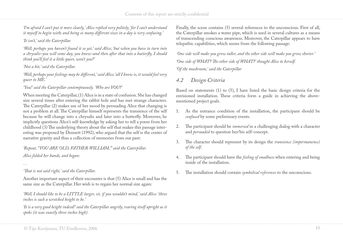*'I'm afraid I can't put it more clearly,' Alice replied very politely, 'for I can't understand it myself to begin with; and being so many different sizes in a day is very confusing.'*

#### *'It isn't,' said the Caterpillar.*

*'Well, perhaps you haven't found it so yet,' said Alice; 'but when you have to turn into a chrysalis–you will some day, you know–and then after that into a butterfly, I should think you'll feel it a little queer, won't you?'*

#### *'Not a bit,' said the Caterpillar.*

*'Well, perhaps your feelings may be different,' said Alice; 'all I know is, it would feel very queer to ME.'*

#### *'You!' said the Caterpillar contemptuously. 'Who are YOU?'*

When meeting the Caterpillar, (1) Alice is in a state of confusion. She has changed size several times after entering the rabbit hole and has met strange characters. The Caterpillar (2) makes use of her mood by persuading Alice that changing is not a problem at all. The Caterpillar himself represents the transience of the self because he will change into a chrysalis and later into a butterfly. Moreover, he implicitly questions Alice's self-knowledge by asking her to tell a poem from her childhood (3) The underlying theory about the self that makes this passage interesting was proposed by Dennett (1992), who argued that the self is the center of narrative gravity and thus a collection of memories from our past:

*'Repeat, "YOU ARE OLD, FATHER WILLIAM,"' said the Caterpillar.*

*Alice folded her hands, and began:*

*…*

#### *'That is not said right,' said the Caterpillar.*

Another important aspect of their encounter is that (5) Alice is small and has the same size as the Caterpillar. Her wish is to regain her normal size again:

*'Well, I should like to be a LITTLE larger, sir, if you wouldn't mind,' said Alice: 'three inches is such a wretched height to be.'*

*'It is a very good height indeed!' said the Caterpillar angrily, rearing itself upright as it spoke (it was exactly three inches high).*

Finally, the scene contains (5) several references to the unconscious. First of all, the Caterpillar smokes a water pipe, which is used in several cultures as a means of transcending conscious awareness. Moreover, the Caterpillar appears to have telepathic capabilities, which seems from the following passage:

 *One side will make you grow taller, and the other side will make you grow shorter.' 'One side of WHAT? The other side of WHAT?' thought Alice to herself. 'Of the mushroom,' said the Caterpillar*

## *4.2 Design Criteria*

Based on statements (1) to (5), I have listed the basic design criteria for the envisioned installation. These criteria form a guide in achieving the abovementioned project goals.

- As the entrance condition of the installation, the participant should be . *confused* by some preliminary events.
- The participant should be *immersed* in a challenging dialog with a character and *persuaded* to question her/his self-concept. 2.
- The character should represent by its design the *transience (impermanence) of the self*. 3.
- The participant should have the *feeling of smallness* when entering and being inside of the installation. 4.
- The installation should contain *symbolical references* to the unconscious. 5.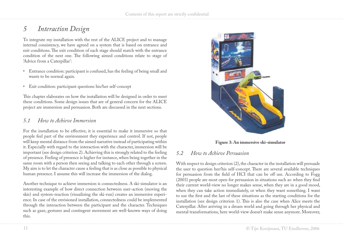# *5 Interaction Design*

To integrate my installation with the rest of the ALICE project and to manage internal consistency, we have agreed on a system that is based on entrance and exit conditions. The exit condition of each stage should match with the entrance condition of the next one. The following aimed conditions relate to stage of 'Advice from a Caterpillar':

- Entrance condition: participant is confused, has the feeling of being small and wants to be normal again.
- Exit condition: participant questions his/her self-concept

This chapter elaborates on how the installation will be designed in order to meet these conditions. Some design issues that are of general concern for the ALICE project are immersion and persuasion. Both are discussed in the next sections.

#### *5.1 How to Achieve Immersion*

For the installation to be effective, it is essential to make it immersive so that people feel part of the environment they experience and control. If not, people will keep mental distance from the aimed narrative instead of participating within it. Especially with regard to the interaction with the character, immersion will be important (see design criterion 2). Achieving this is strongly related to the feeling of presence. Feeling of presence is higher for instance, when being together in the same room with a person then seeing and talking to each other through a screen. My aim is to let the character cause a feeling that is as close as possible to physical human presence. I assume this will increase the immersion of the dialog.

Another technique to achieve immersion is connectedness. A ski-simulator is an interesting example of how direct connection between user-action (moving the skis) and system-reaction (visualizing the ski-run) creates an immersive experience. In case of the envisioned installation, connectedness could be implemented through the interaction between the participant and the character. Techniques such as gaze, gestures and contingent movement are well-known ways of doing this.



**Figure 3: An immersive ski-simulator**

#### *5.2 How to Achieve Persuasion*

With respect to design criterion (2), the character in the installation will persuade the user to question her/his self-concept. There are several available techniques for persuasion from the field of HCI that can be off use. According to Fogg (2003) people are most open for persuasion in situations such as: when they find their current world-view no longer makes sense, when they are in a good mood, when they can take action immediately, or when they want something. I want to use the first and the last of these situations as the starting conditions for the installation (see design criterion 1). This is also the case when Alice meets the Caterpillar. After arriving in a dream world and going through her physical and mental transformations, here world-view doesn't make sense anymore. Moreover,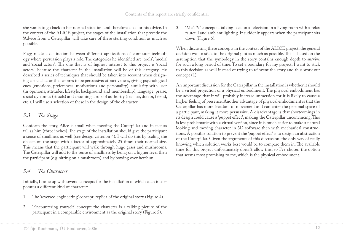she wants to go back to her normal situation and therefore asks for his advice. In the context of the ALICE project, the stages of the installation that precede the 'Advice from a Caterpillar' will take care of these starting condition as much as possible.

Fogg made a distinction between different applications of computer technology where persuasion plays a role. The categories he identified are 'tools', 'media' and 'social actors'. The one that is of highest interest to this project is 'social actors', because the character in the installation will be of this category. He described a series of techniques that should be taken into account when designing a social actor that aspires to be persuasive: attractiveness, giving psychological cues (emotions, preferences, motivations and personality), similarity with user (in opinions, attitudes, lifestyle, background and membership), language, praise, social dynamics (rituals) and assuming a role of authority (teacher, doctor, friend, etc.). I will use a selection of these in the design of the character.

#### *5.3 The Stage*

Conform the story, Alice is small when meeting the Caterpillar and in fact as tall as him (three inches). The stage of the installation should give the participant a sense of smallness as well (see design criterion 4). I will do this by scaling the objects on the stage with a factor of approximately 25 times their normal size. This means that the participant will walk through huge grass and mushrooms. The Caterpillar will add to the sense of smallness by being on a higher level then the participant (e.g. sitting on a mushroom) and by bowing over her/him.

## *5.4 The Character*

Initially, I came up with several concepts for the installation of which each incorporates a different kind of character:

- The 'reversed engineering' concept: replica of the original story (Figure 4). .
- 'Encountering yourself' concept: the character is a talking picture of the participant in a comparable environment as the original story (Figure 5). 2.

'Me TV' concept: a talking face on a television in a living room with a relax fauteuil and ambient lighting. It suddenly appears when the participant sits down (Figure 6).  $\mathcal{E}$ .

When discussing these concepts in the context of the ALICE project, the general decision was to stick to the original plot as much as possible. This is based on the assumption that the symbology in the story contains enough depth to survive for such a long period of time. To set a boundary for my project, I want to stick to this decision as well instead of trying to reinvent the story and thus work out concept (1).

An important discussion for the Caterpillar in the installation is whether it should be a virtual projection or a physical embodiment. The physical embodiment has the advantage that it will probably increase immersion for it is likely to cause a higher feeling of presence. Another advantage of physical embodiment is that the Caterpillar has more freedom of movement and can enter the personal space of a participant, making it more persuasive. A disadvantage is that shortcomings in its design could cause a 'puppet effect', making the Caterpillar unconvincing. This is less problematic with a virtual version, since it is much easier to make a natural looking and moving character in 3D software then with mechanical constructions. A possible solution to prevent the 'puppet effect' is to design an abstraction of the Caterpillar. Given the arguments of this discussion, the only way of really knowing which solution works best would be to compare them in. The available time for this project unfortunately doesn't allow this, so I've chosen the option that seems most promising to me, which is the physical embodiment.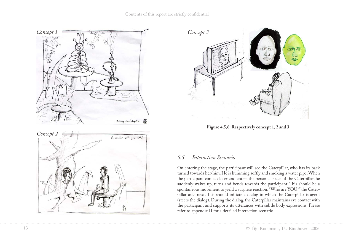



**Figure 4,5,6: Respectively concept 1, 2 and 3**

#### *5.5 Interaction Scenario*

On entering the stage, the participant will see the Caterpillar, who has its back turned towards her/him. He is humming softly and smoking a water pipe. When the participant comes closer and enters the personal space of the Caterpillar, he suddenly wakes up, turns and bends towards the participant. This should be a spontaneous movement to yield a surprise reaction. "Who are YOU?" the Caterpillar asks next. This should initiate a dialog in which the Caterpillar is agent (steers the dialog). During the dialog, the Caterpillar maintains eye contact with the participant and supports its utterances with subtle body expressions. Please refer to appendix II for a detailed interaction scenario.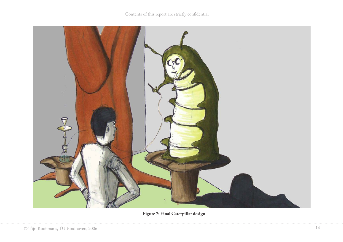

**Figure 7: Final Caterpillar design**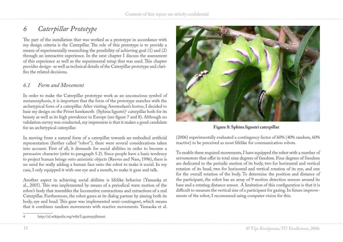# *6 Caterpillar Prototype*

The part of the installation that was worked as a prototype in accordance with my design criteria is the Caterpillar. The role of this prototype is to provide a means of experimentally researching the possibility of achieving goal (1) and (2) through an interactive experience. In the next chapter I discuss the assessment of this experience as well as the experimental setup that was used. This chapter provides design- as well as technical details of the Caterpillar prototype and clarifies the related decisions.

#### *6.1 Form and Movement*

In order to make the Caterpillar prototype work as an unconscious symbol of metamorphosis, it is important that the form of the prototype matches with the archetypical form of a caterpillar. After visiting Amsterdam's hortus, I decided to base my design on the Privet hawkmoth (Sphinx ligustri) caterpillar both for its beauty as well as its high prevalence in Europe (see figure 7 and 8). Although no validation survey was conducted, my impression is that it makes a good candidate for an archetypical caterpillar.

In moving from a natural form of a caterpillar towards an embodied artificial representation (further called "robot"), there were several considerations taken into account. First of all, it demands for social abilities in order to become a persuasive character (refer to paragraph 5.2). Since people have a basic tendency to project human beings onto animistic objects (Reeves and Nass, 1996), there is no need for really adding a human face onto the robot to make it social. In my case, I only equipped it with one eye and a mouth, to make it gaze and talk.

Another aspect in achieving social abilities is lifelike behavior (Yamaoka et al., 2005). This was implemented by means of a periodical wave motion of the robot's body that resembles the locomotive contractions and extractions of a real Caterpillar. Furthermore, the robot gazes at its dialog partner by aiming both its body, eye and head. This gaze was implemented semi-contingent, which means that it combines random movements with reactive movements. Yamaoka et al.



**Figure 8: Sphinx ligustri caterpillar**

(2006) experimentally evaluated a contingency factor of 60% (40% random, 60% reactive) to be perceived as most lifelike for communication robots.

To enable these required movements, I have equipped the robot with a number of servomotors that offer in total nine degrees of freedom. Four degrees of freedom are dedicated to the periodic motion of its body, two for horizontal and vertical rotation of its head, two for horizontal and vertical rotation of its eye, and one for the overall rotation of the body. To determine the position and distance of the participant, the robot has an array of 9 motion detection sensors around its base and a rotating distance sensor. A limitation of this configuration is that it is difficult to measure the vertical size of a participant for gazing. In future improvements of the robot, I recommend using computer vision for this.

<sup>4</sup> http://nl.wikipedia.org/wiki/Ligusterpijlstaart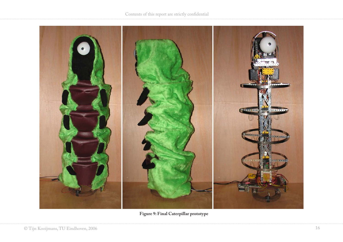

**Figure 9: Final Caterpillar prototype**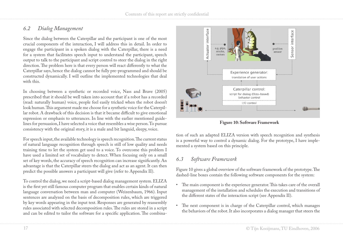## *6.2 Dialog Management*

Since the dialog between the Caterpillar and the participant is one of the most crucial components of the interaction, I will address this in detail. In order to engage the participant in a spoken dialog with the Caterpillar, there is a need for a system that facilitates speech input to understand the participant, speech output to talk to the participant and script control to steer the dialog in the right direction. The problem here is that every person will react differently to what the Caterpillar says, hence the dialog cannot be fully pre-programmed and should be constructed dynamically. I will outline the implemented technologies that deal with this.

In choosing between a synthetic or recorded voice, Nass and Brave (2005) prescribed that it should be well taken into account that if a robot has a recorded (read: naturally human) voice, people feel easily tricked when the robot doesn't look human. This argument made me choose for a synthetic voice for the Caterpillar robot. A drawback of this decision is that it became difficult to give emotional expression or emphasis to utterances. In line with the earlier mentioned guidelines for persuasion, I have selected a voice that resembles a wise person. To pursue consistency with the original story, it is a male and bit languid, sleepy, voice.

For speech input, the available technology is speech recognition. The current status of natural language recognition through speech is still of low quality and needs training time to let the system get used to a voice. To overcome this problem I have used a limited set of vocabulary to detect. When focusing only on a small set of key words, the accuracy of speech recognition can increase significantly. An advantage is that the Caterpillar steers the dialog and act as an agent. It can then predict the possible answers a participant will give (refer to Appendix II).

To control the dialog, we need a script-based dialog management system. ELIZA is the first yet still famous computer program that enables certain kinds of natural language conversation between man and computer (Weizenbaum, 1966). Input sentences are analyzed on the basis of decomposition rules, which are triggered by key words appearing in the input text. Responses are generated by reassembly rules associated with selected decomposition rules. The rules are stored in a script and can be edited to tailor the software for a specific application. The combina-



**Figure 10: Software Framework**

tion of such an adapted ELIZA version with speech recognition and synthesis is a powerful way to control a dynamic dialog. For the prototype, I have implemented a system based on this principle.

## *6.3 Software Framework*

Figure 10 gives a global overview of the software framework of the prototype. The dashed-line boxes contain the following software components for the system:

- The main component is the experience generator. This takes care of the overall management of the installation and schedules the execution and transitions of the different states of the interaction script (see Appendix II).
- The next component is in charge of the Caterpillar control, which manages the behaviors of the robot. It also incorporates a dialog manager that steers the •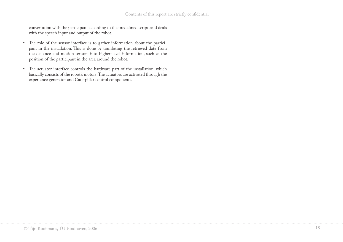conversation with the participant according to the predefined script, and deals with the speech input and output of the robot.

- The role of the sensor interface is to gather information about the participant in the installation. This is done by translating the retrieved data from the distance and motion sensors into higher-level information, such as the position of the participant in the area around the robot.
- The actuator interface controls the hardware part of the installation, which basically consists of the robot's motors. The actuators are activated through the experience generator and Caterpillar control components.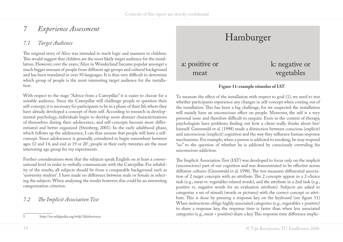# *7 Experience Assessment*

## *7.1 Target Audience*

The original story of Alice was intended to teach logic and manners to children. This would suggest that children are the most likely target audience for the installation. However, over the years, 'Alice in Wonderland' became popular amongst a much bigger amount of people from different age groups and cultural background and has been translated in over 50 languages. It is thus very difficult to determine which group of people is the most interesting target audience for the installation.

With respect to the stage "Advice from a Caterpillar" it is easier to choose for a suitable audience. Since the Caterpillar will challenge people to question their self-concept, it is necessary for participants to be in a phase of their life where they have already developed a concept of their self. According to research in developmental psychology, individuals begin to develop more abstract characterizations of themselves during their adolescence, and self-concepts become more differentiated and better organized (Steinberg, 2001). In the early adulthood phase, which follows up the adolescence, I can thus assume that people will have a selfconcept. Since adolescence is generally considered to begin somewhere between ages 12 and 14, and end at 19 or 20 , people in their early-twenties are the most interesting age group for my experiments.

Further considerations were that the subjects speak English on at least a conversational level in order to verbally communicate with the Caterpillar. For reliability of the results, all subjects should be from a comparable background such as 'university student'. I have made no difference between male or female in selecting the subjects. When analyzing the results however, this could be an interesting categorization criterion.

#### *7.2 The Implicit Association Test*



#### **Figure 11: example stimulus of IAT**

To measure the effect of the installation with respect to goal (1), we need to test whether participants experience any changes in self-concept when coming out of the installation. This has been a big challenge, for we suspected the installation will mainly have an unconscious effect on people. Moreover, the self is a very personal issue and therefore difficult to enquire. Even in the context of therapy, psychologists have problems finding out how a client really thinks about her/ himself. Greenwald et al. (1998) made a distinction between conscious (explicit) and unconscious (implicit) cognition and the way they influence human response mechanisms. For example, when a person is addicted to smoking, he may respond "no" to the question of whether he is addicted by consciously overruling his unconscious addiction.

The Implicit Association Test (IAT) was developed to focus only on the implicit (unconscious) part of our cognition and was demonstrated to be effective across different cultures (Greenwald et al. 1998). The test measures differential association of 2 target concepts with an attribute. The 2 concepts appear in a 2-choice task (e.g., meat vs. vegetables related words), and the attribute in a 2nd task (e.g., positive vs. negative words for an evaluation attribute). Subjects are asked to categorize a set of stimuli (words or pictures) with the correct concept or attribute. This is done by pressing a response key on the keyboard (see figure 11) When instructions oblige highly associated categories (e.g., vegetables + positive) to share a response key, the response time is faster than when less associated categories (e.g., meat + positive) share a key. This response time difference implic-

<sup>5</sup> http://en.wikipedia.org/wiki/Adolescence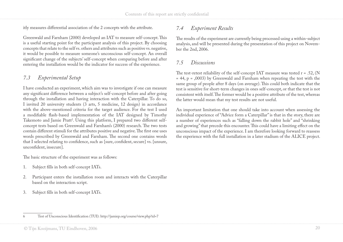itly measures differential association of the 2 concepts with the attribute.

Greenwald and Farnham (2000) developed an IAT to measure self-concept. This is a useful starting point for the participant analysis of this project. By choosing concepts that relate to the self vs. others and attributes such as positive vs. negative, it would be possible to measure someone's unconscious self-concept. An overall significant change of the subjects' self-concept when comparing before and after entering the installation would be the indicator for success of the experience.

#### *7.3 Experimental Setup*

I have conducted an experiment, which aim was to investigate if one can measure any significant difference between a subject's self-concept before and after going through the installation and having interaction with the Caterpillar. To do so, I invited 20 university students (3 arts, 5 medicine, 12 design) in accordance with the above-mentioned criteria for the target audience. For the test I used a modifiable flash-based implementation of the IAT designed by Timothy Takemoto and Jamie Pratt<sup>2</sup>. Using this platform, I prepared two different selfconcept tests based on Greenwald and Farnham's (2000) research. The two tests contain different stimuli for the attributes positive and negative. The first one uses words prescribed by Greenwald and Farnham. The second one contains words that I selected relating to confidence, such as {sure, confident, secure} vs. {unsure, unconfident, insecure}.

The basic structure of the experiment was as follows:

- Subject fills in both self-concept IATs. .
- Participant enters the installation room and interacts with the Caterpillar based on the interaction script. 2.
- Subject fills in both self-concept IATs. 3.

## *7.4 Experiment Results*

The results of the experiment are currently being processed using a within-subject analysis, and will be presented during the presentation of this project on November the 2nd, 2006.

## *7.5 Discussions*

The test-retest reliability of the self-concept IAT measure was tested  $r = .52$ , (N) = 44, p = ,0003) by Greenwald and Farnham when repeating the test with the same group of people after 8 days (on average). This could both indicate that the test is sensitive for short-term changes in ones self-concept, or that the test is not consistent with itself. The former would be a positive attribute of the test, whereas the latter would mean that my test results are not useful.

An important limitation that one should take into account when assessing the individual experience of "Advice form a Caterpillar" is that in the story, there are a number of experiences such as "falling down the rabbit hole" and "shrinking and growing" that precede this encounter. This could have a limiting effect on the unconscious impact of the experience. I am therefore looking forward to reassess the experience with the full installation in a later stadium of the ALICE project.

<sup>6</sup> Test of Unconscious Identification (TUI): http://jamiep.org/course/view.php?id=7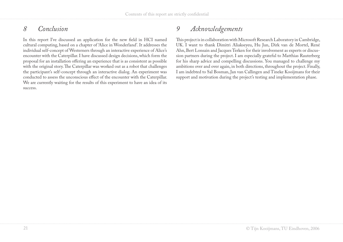# *8 Conclusion*

In this report I've discussed an application for the new field in HCI named cultural computing, based on a chapter of 'Alice in Wonderland'. It addresses the individual self-concept of Westerners through an interactive experience of Alice's encounter with the Caterpillar. I have discussed design decisions, which form the proposal for an installation offering an experience that is as consistent as possible with the original story. The Caterpillar was worked out as a robot that challenges the participant's self-concept through an interactive dialog. An experiment was conducted to assess the unconscious effect of the encounter with the Caterpillar. We are currently waiting for the results of this experiment to have an idea of its success.

# *9 Acknowledgements*

This project is in collaboration with Microsoft Research Laboratory in Cambridge, UK. I want to thank Dimitri Aliakseyeu, Hu Jun, Dirk van de Mortel, René Ahn, Bert Lonsain and Jacques Terken for their involvement as experts or discussion partners during the project. I am especially grateful to Matthias Rauterberg for his sharp advice and compelling discussions. You managed to challenge my ambitions over and over again, in both directions, throughout the project. Finally, I am indebted to Sal Bosman, Jan van Callingen and Tineke Kooijmans for their support and motivation during the project's testing and implementation phase.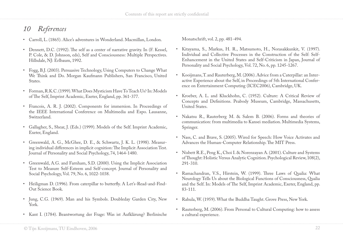# *10 References*

- Carroll, L. (1865). Alice's adventures in Wonderland. Macmillan, London.
- Dennett, D.C. (1992). The self as a center of narrative gravity. In (F. Kessel, P. Cole, & D. Johnson, eds), Self and Consciousness: Multiple Perspectives. Hillsdale, NJ: Erlbaum, 1992.
- Fogg, B.J. (2003). Persuasive Technology, Using Computers to Change What We Think and Do. Morgan Kaufmann Publishers, San Francisco, United States.
- Forman, R.K.C. (1999). What Does Mysticism Have To Teach Us? In: Models of The Self, Imprint Academic, Exeter, England, pp. 361-377.
- Francois, A. R. J. (2002). Components for immersion. In Proceedings of the IEEE International Conference on Multimedia and Expo. Lausanne, Switzerland.
- Gallagher, S., Shear, J. (Eds.) (1999). Models of the Self. Imprint Academic, Exeter, England.
- Greenwald, A. G., McGhee, D. E., & Schwartz, J. K. L. (1998). Measuring individual differences in implicit cognition: The Implicit Association Test. Journal of Personality and Social Psychology, 74, 1464-1480.
- Greenwald, A.G. and Farnham, S.D. (2000). Using the Implicit Association Test to Measure Self-Esteem and Self-concept. Journal of Personality and Social Psychology, Vol. 79, No. 6, 1022-1038.
- Heiligman D. (1996). From caterpillar to butterfly. A Let's-Read-and-Find-Out Science Book.
- Jung, C.G. (1969). Man and his Symbols. Doubleday Garden City, New York.
- Kant I. (1784). Beantwortung der Frage: Was ist Aufklärung? Berlinische

Monatschrift, vol. 2, pp. 481-494.

- Kitayama, S., Markus, H. R., Matsumoto, H., Norasakkunkit, V. (1997). Individual and Collective Processes in the Construction of the Self: Self-Enhancement in the United States and Self-Criticism in Japan, Journal of Personality and Social Psychology, Vol. 72, No. 6, pp. 1245-1267. •
- Kooijmans, T. and Rauterberg, M. (2006). Advice from a Caterpillar: an Interactive Experience about the Self, in Proceedings of 5th International Conference on Entertainment Computing (ICEC2006), Cambridge, UK. •
- Kroeber, A. L. and Kluckhohn, C. (1952). Culture: A Critical Review of Concepts and Definitions. Peabody Museum, Cambridge, Massachusetts, United States. •
- Nakatsu R., Rauterberg M. & Salem B. (2006). Forms and theories of communication: from multimedia to Kansei mediation. Multimedia Systems, Springer. •
- Nass, C. and Brave, S. (2005). Wired for Speech: How Voice Activates and Advances the Human-Computer Relationship. The MIT Press.
- Nisbett R.E., Peng K., Choi I. & Norenzayan A. (2001). Culture and Systems of Thought: Holistic Versus Analytic Cognition. Psychological Review, 108(2), 291-310.
- Ramachandran, V.S., Hirstein, W. (1999). Three Laws of Qualia: What Neurology Tells Us about the Biological Functions of Consciousness, Qualia and the Self. In: Models of The Self, Imprint Academic, Exeter, England, pp. 83-111. •
- Rahula, W. (1959). What the Buddha Taught. Grove Press, New York.
- Rauterberg, M. (2006). From Personal to Cultural Computing: how to assess a cultural experience.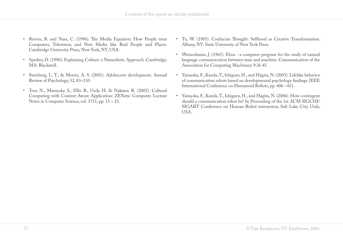- Reeves, B. and Nass, C. (1996). The Media Equation: How People treat Computers, Television, and New Media like Real People and Places. Cambridge University Press, New York, NY, USA.
- Sperber, D. (1996). Explaining Culture: a Naturalistic Approach. Cambridge, MA: Blackwell.
- Steinberg, L. T., & Morris, A. S. (2001). Adolescent development. Annual Review of Psychology, 52, 83–110.
- Tosa N., Matsuoka S., Ellis B., Ueda H. & Nakatsu R. (2005). Cultural Computing with Context-Aware Application: ZENetic Computer. Lecture Notes in Computer Science, vol. 3711, pp. 13 – 23. •
- Tu, W. (1985). Confucian Thought: Selfhood as Creative Transformation. Albany, NY: State University of New York Press.
- Weizenbaum, J. (1965). Eliza a computer program for the study of natural language communication between man and machine. Communication of the Association for Computing Machinery 9:36 45.
- Yamaoka, F., Kanda, T., Ishiguro, H., and Hagita, N. (2005). Lifelike behavior of communication robots based on developmental psychology findings. IEEE International Conference on Humanoid Robots, pp. 406--411.
- Yamaoka, F., Kanda, T., Ishiguro, H., and Hagita, N. (2006). How contingent should a communication robot be? In Proceeding of the 1st ACM SIGCHI/ SIGART Conference on Human-Robot interaction, Salt Lake City, Utah, USA. •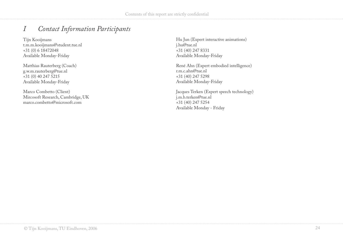# *I Contact Information Participants*

Tijn Kooijmans t.m.m.kooijmans@student.tue.nl +31 (0) 6 18472048 Available Monday-Friday

Matthias Rauterberg (Coach) g.w.m.rauterberg@tue.nl +31 (0) 40 247 5215 Available Monday-Friday

Marco Combetto (Client) Mircosoft Research, Cambridge, UK marco.combetto@microsoft.com

Hu Jun (Expert interactive animations) j.hu@tue.nl +31 (40) 247 8331 Available Monday-Friday

René Ahn (Expert embodied intelligence) r.m.c.ahn@tue.nl +31 (40) 247 5298 Available Monday-Friday

Jacques Terken (Expert speech technology) j.m.b.terken@tue.nl +31 (40) 247 5254 Available Monday - Friday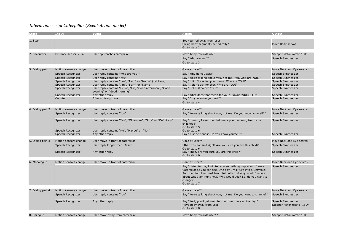#### *Interaction script Caterpillar (Event-Action model)*

| <b>State</b>     | Input                                  | <b>Event</b>                                                                                                                            | <b>Action</b>                                                                                                                                                                                                                                                                                     | <b>Output</b>                                    |
|------------------|----------------------------------------|-----------------------------------------------------------------------------------------------------------------------------------------|---------------------------------------------------------------------------------------------------------------------------------------------------------------------------------------------------------------------------------------------------------------------------------------------------|--------------------------------------------------|
| 1. Start         |                                        |                                                                                                                                         | Body turned away from user<br>Swing body segments periodically*<br>Go to state 2                                                                                                                                                                                                                  | Move Body servos                                 |
|                  |                                        |                                                                                                                                         |                                                                                                                                                                                                                                                                                                   |                                                  |
| 2. Encounter     | Distance sensor < 1m                   | User approaches caterpillar                                                                                                             | Move body towards user<br>Say "Who are you?"<br>Go to state 3                                                                                                                                                                                                                                     | Stepper Motor rotate 180°<br>Speech Synthesizer  |
|                  |                                        |                                                                                                                                         |                                                                                                                                                                                                                                                                                                   |                                                  |
| 3. Dialog part 1 | Motion sensors change                  | User move in front of caterpillar                                                                                                       | Gaze at user**                                                                                                                                                                                                                                                                                    | Move Neck and Eye servos                         |
|                  | Speech Recognizer                      | User reply contains "Who are you?"                                                                                                      | Say "Why do you ask?"                                                                                                                                                                                                                                                                             | Speech Synthesizer                               |
|                  | Speech Recognizer                      | User reply contains "You"                                                                                                               | Say "We're talking about you, not me. You, who are YOU?"                                                                                                                                                                                                                                          | Speech Synthesizer                               |
|                  | Speech Recognizer                      | User reply contains "I'm", "I am" or "Name" (1st time)                                                                                  | Say "I didn't ask for your name. Who are YOU?"                                                                                                                                                                                                                                                    | Speech Synthesizer                               |
|                  | Speech Recognizer<br>Speech Recognizer | User reply contains "I'm", "I am" or "Name"<br>User reply contains "Hello", "Hi", "Good afternoon", "Good<br>evening" or "Good morning" | Say "I didn't ask for that. Who are YOU?"<br>Say "Hello. Who are YOU?"                                                                                                                                                                                                                            | Speech Synthesizer<br>Speech Synthesizer         |
|                  | Speech Recognizer                      | Any other reply                                                                                                                         | Say "What does that mean for you? Explain YOURSELF!"                                                                                                                                                                                                                                              | Speech Synthesizer                               |
|                  | Counter                                | After 4 dialog turns                                                                                                                    | Say "Do you know yourself?"                                                                                                                                                                                                                                                                       | Speech Synthesizer                               |
|                  |                                        |                                                                                                                                         | Go to state 4                                                                                                                                                                                                                                                                                     |                                                  |
|                  |                                        |                                                                                                                                         |                                                                                                                                                                                                                                                                                                   |                                                  |
| 4. Dialog part 2 | Motion sensors change                  | User move in front of caterpillar                                                                                                       | Gaze at user**                                                                                                                                                                                                                                                                                    | Move Neck and Eye servos                         |
|                  | Speech Recognizer                      | User reply contains "You"                                                                                                               | Say "We're talking about you, not me. Do you know yourself?"                                                                                                                                                                                                                                      | Speech Synthesizer                               |
|                  | Speech Recognizer                      | User reply contains "Yes", "Of course", "Sure" or "Definitely"                                                                          | Say "Hmmm, I see, then tell me a poem or song from your<br>childhood"<br>Go to state 5                                                                                                                                                                                                            | Speech Synthesizer                               |
|                  | Speech Recognizer                      | User reply contains "No", "Maybe" or "Not"                                                                                              | Go to state 6                                                                                                                                                                                                                                                                                     |                                                  |
|                  | Speech Recognizer                      | Any other reply                                                                                                                         | Say "Just be honest. Do you know yourself?"                                                                                                                                                                                                                                                       | Speech Synthesizer                               |
|                  | Motion sensors change                  |                                                                                                                                         | Gaze at user**                                                                                                                                                                                                                                                                                    | Move Neck and Eye servos                         |
| 5. Dialog part 3 |                                        | User move in front of caterpillar                                                                                                       |                                                                                                                                                                                                                                                                                                   |                                                  |
|                  | Speech Recognizer                      | User reply longer then 10 sec                                                                                                           | "That was not said right! Are you sure you are this child?"<br>Go to state 6                                                                                                                                                                                                                      | Speech Synthesizer                               |
|                  | Speech Recognizer                      | Any other reply                                                                                                                         | Say "Then, are you sure you are this child?"<br>Go to state 6                                                                                                                                                                                                                                     | Speech Synthesizer                               |
|                  |                                        |                                                                                                                                         | Gaze at user**                                                                                                                                                                                                                                                                                    |                                                  |
| 6. Monologue     | Motion sensors change                  | User move in front of caterpillar                                                                                                       |                                                                                                                                                                                                                                                                                                   | Move Neck and Eye servos                         |
|                  |                                        |                                                                                                                                         | Say "Listen to me, I will tell you something important. I am a<br>Caterpillar as you can see. One day, I will turn into a Chrysalis.<br>And then into the most beautiful butterfly! Why would I worry<br>about who I am right now? Why would you? So, do you want to<br>change?"<br>Go to state 7 | Speech Synthesizer                               |
|                  |                                        |                                                                                                                                         |                                                                                                                                                                                                                                                                                                   |                                                  |
| 7. Dialog part 4 | Motion sensors change                  | User move in front of caterpillar                                                                                                       | Gaze at user**                                                                                                                                                                                                                                                                                    | Move Neck and Eye servos                         |
|                  | Speech Recognizer                      | User reply contains "You"                                                                                                               | Say "We're talking about you, not me. Do you want to change?"                                                                                                                                                                                                                                     | Speech Synthesizer                               |
|                  | Speech Recognizer                      | Any other reply                                                                                                                         | Say "Well, you'll get used to it in time. Have a nice day!"<br>Move body away from user<br>Go to state 8                                                                                                                                                                                          | Speech Synthesizer<br>Stepper Motor rotate -180° |
|                  |                                        |                                                                                                                                         |                                                                                                                                                                                                                                                                                                   |                                                  |
| 8. Epiloque      | Motion sensors change                  | User move away from caterpillar                                                                                                         | Move body towards user**                                                                                                                                                                                                                                                                          | Stepper Motor rotate 180°                        |